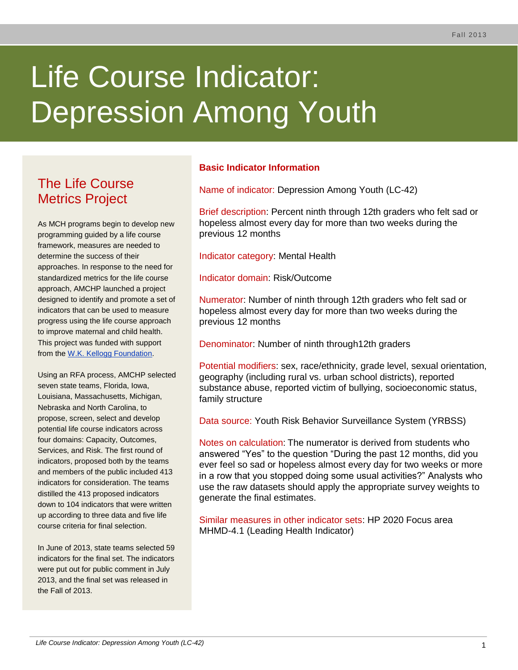# Life Course Indicator: Depression Among Youth

# The Life Course Metrics Project

As MCH programs begin to develop new programming guided by a life course framework, measures are needed to determine the success of their approaches. In response to the need for standardized metrics for the life course approach, AMCHP launched a project designed to identify and promote a set of indicators that can be used to measure progress using the life course approach to improve maternal and child health. This project was funded with support from the [W.K. Kellogg Foundation.](http://www.wkkf.org/)

Using an RFA process, AMCHP selected seven state teams, Florida, Iowa, Louisiana, Massachusetts, Michigan, Nebraska and North Carolina, to propose, screen, select and develop potential life course indicators across four domains: Capacity, Outcomes, Services, and Risk. The first round of indicators, proposed both by the teams and members of the public included 413 indicators for consideration. The teams distilled the 413 proposed indicators down to 104 indicators that were written up according to three data and five life course criteria for final selection.

In June of 2013, state teams selected 59 indicators for the final set. The indicators were put out for public comment in July 2013, and the final set was released in the Fall of 2013.

# **Basic Indicator Information**

Name of indicator: Depression Among Youth (LC-42)

Brief description: Percent ninth through 12th graders who felt sad or hopeless almost every day for more than two weeks during the previous 12 months

Indicator category: Mental Health

Indicator domain: Risk/Outcome

Numerator: Number of ninth through 12th graders who felt sad or hopeless almost every day for more than two weeks during the previous 12 months

Denominator: Number of ninth through12th graders

Potential modifiers: sex, race/ethnicity, grade level, sexual orientation, geography (including rural vs. urban school districts), reported substance abuse, reported victim of bullying, socioeconomic status, family structure

Data source: Youth Risk Behavior Surveillance System (YRBSS)

Notes on calculation: The numerator is derived from students who answered "Yes" to the question "During the past 12 months, did you ever feel so sad or hopeless almost every day for two weeks or more in a row that you stopped doing some usual activities?" Analysts who use the raw datasets should apply the appropriate survey weights to generate the final estimates.

Similar measures in other indicator sets: HP 2020 Focus area MHMD-4.1 (Leading Health Indicator)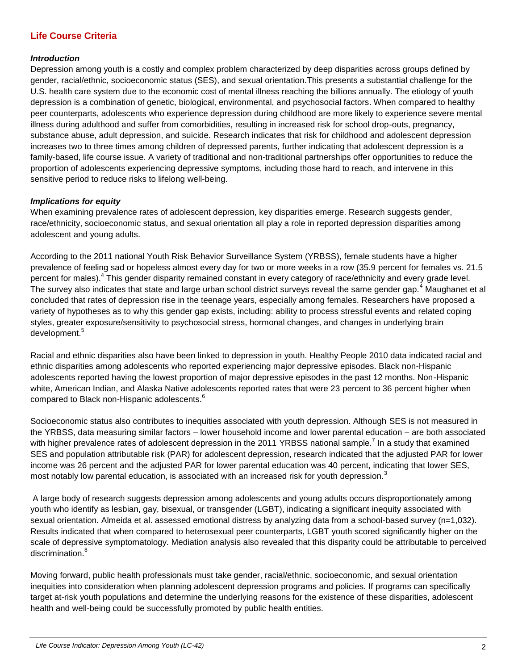### **Life Course Criteria**

#### *Introduction*

Depression among youth is a costly and complex problem characterized by deep disparities across groups defined by gender, racial/ethnic, socioeconomic status (SES), and sexual orientation.This presents a substantial challenge for the U.S. health care system due to the economic cost of mental illness reaching the billions annually. The etiology of youth depression is a combination of genetic, biological, environmental, and psychosocial factors. When compared to healthy peer counterparts, adolescents who experience depression during childhood are more likely to experience severe mental illness during adulthood and suffer from comorbidities, resulting in increased risk for school drop-outs, pregnancy, substance abuse, adult depression, and suicide. Research indicates that risk for childhood and adolescent depression increases two to three times among children of depressed parents, further indicating that adolescent depression is a family-based, life course issue. A variety of traditional and non-traditional partnerships offer opportunities to reduce the proportion of adolescents experiencing depressive symptoms, including those hard to reach, and intervene in this sensitive period to reduce risks to lifelong well-being.

#### *Implications for equity*

When examining prevalence rates of adolescent depression, key disparities emerge. Research suggests gender, race/ethnicity, socioeconomic status, and sexual orientation all play a role in reported depression disparities among adolescent and young adults.

According to the 2011 national Youth Risk Behavior Surveillance System (YRBSS), female students have a higher prevalence of feeling sad or hopeless almost every day for two or more weeks in a row (35.9 percent for females vs. 21.5 percent for males).<sup>4</sup> This gender disparity remained constant in every category of race/ethnicity and every grade level. The survey also indicates that state and large urban school district surveys reveal the same gender gap.<sup>4</sup> Maughanet et al concluded that rates of depression rise in the teenage years, especially among females. Researchers have proposed a variety of hypotheses as to why this gender gap exists, including: ability to process stressful events and related coping styles, greater exposure/sensitivity to psychosocial stress, hormonal changes, and changes in underlying brain development.<sup>5</sup>

Racial and ethnic disparities also have been linked to depression in youth. Healthy People 2010 data indicated racial and ethnic disparities among adolescents who reported experiencing major depressive episodes. Black non-Hispanic adolescents reported having the lowest proportion of major depressive episodes in the past 12 months. Non-Hispanic white, American Indian, and Alaska Native adolescents reported rates that were 23 percent to 36 percent higher when compared to Black non-Hispanic adolescents.<sup>6</sup>

Socioeconomic status also contributes to inequities associated with youth depression. Although SES is not measured in the YRBSS, data measuring similar factors – lower household income and lower parental education – are both associated with higher prevalence rates of adolescent depression in the 2011 YRBSS national sample.<sup>7</sup> In a study that examined SES and population attributable risk (PAR) for adolescent depression, research indicated that the adjusted PAR for lower income was 26 percent and the adjusted PAR for lower parental education was 40 percent, indicating that lower SES, most notably low parental education, is associated with an increased risk for youth depression.<sup>3</sup>

A large body of research suggests depression among adolescents and young adults occurs disproportionately among youth who identify as lesbian, gay, bisexual, or transgender (LGBT), indicating a significant inequity associated with sexual orientation. Almeida et al. assessed emotional distress by analyzing data from a school-based survey (n=1,032). Results indicated that when compared to heterosexual peer counterparts, LGBT youth scored significantly higher on the scale of depressive symptomatology. Mediation analysis also revealed that this disparity could be attributable to perceived discrimination.<sup>8</sup>

Moving forward, public health professionals must take gender, racial/ethnic, socioeconomic, and sexual orientation inequities into consideration when planning adolescent depression programs and policies. If programs can specifically target at-risk youth populations and determine the underlying reasons for the existence of these disparities, adolescent health and well-being could be successfully promoted by public health entities.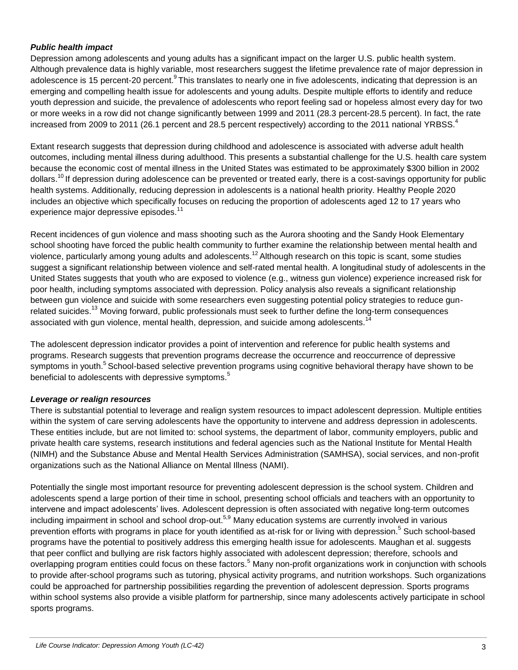#### *Public health impact*

Depression among adolescents and young adults has a significant impact on the larger U.S. public health system. Although prevalence data is highly variable, most researchers suggest the lifetime prevalence rate of major depression in adolescence is 15 percent-20 percent.<sup>9</sup> This translates to nearly one in five adolescents, indicating that depression is an emerging and compelling health issue for adolescents and young adults. Despite multiple efforts to identify and reduce youth depression and suicide, the prevalence of adolescents who report feeling sad or hopeless almost every day for two or more weeks in a row did not change significantly between 1999 and 2011 (28.3 percent-28.5 percent). In fact, the rate increased from 2009 to 2011 (26.1 percent and 28.5 percent respectively) according to the 2011 national YRBSS.<sup>4</sup>

Extant research suggests that depression during childhood and adolescence is associated with adverse adult health outcomes, including mental illness during adulthood. This presents a substantial challenge for the U.S. health care system because the economic cost of mental illness in the United States was estimated to be approximately \$300 billion in 2002 dollars.<sup>10</sup> If depression during adolescence can be prevented or treated early, there is a cost-savings opportunity for public health systems. Additionally, reducing depression in adolescents is a national health priority. Healthy People 2020 includes an objective which specifically focuses on reducing the proportion of adolescents aged 12 to 17 years who experience major depressive episodes.<sup>11</sup>

Recent incidences of gun violence and mass shooting such as the Aurora shooting and the Sandy Hook Elementary school shooting have forced the public health community to further examine the relationship between mental health and violence, particularly among young adults and adolescents.<sup>12</sup> Although research on this topic is scant, some studies suggest a significant relationship between violence and self-rated mental health. A longitudinal study of adolescents in the United States suggests that youth who are exposed to violence (e.g., witness gun violence) experience increased risk for poor health, including symptoms associated with depression. Policy analysis also reveals a significant relationship between gun violence and suicide with some researchers even suggesting potential policy strategies to reduce gunrelated suicides.<sup>13</sup> Moving forward, public professionals must seek to further define the long-term consequences associated with gun violence, mental health, depression, and suicide among adolescents.<sup>14</sup>

The adolescent depression indicator provides a point of intervention and reference for public health systems and programs. Research suggests that prevention programs decrease the occurrence and reoccurrence of depressive symptoms in youth.<sup>5</sup> School-based selective prevention programs using cognitive behavioral therapy have shown to be beneficial to adolescents with depressive symptoms.<sup>5</sup>

#### *Leverage or realign resources*

There is substantial potential to leverage and realign system resources to impact adolescent depression. Multiple entities within the system of care serving adolescents have the opportunity to intervene and address depression in adolescents. These entities include, but are not limited to: school systems, the department of labor, community employers, public and private health care systems, research institutions and federal agencies such as the National Institute for Mental Health (NIMH) and the Substance Abuse and Mental Health Services Administration (SAMHSA), social services, and non-profit organizations such as the National Alliance on Mental Illness (NAMI).

Potentially the single most important resource for preventing adolescent depression is the school system. Children and adolescents spend a large portion of their time in school, presenting school officials and teachers with an opportunity to intervene and impact adolescents' lives. Adolescent depression is often associated with negative long-term outcomes including impairment in school and school drop-out.<sup>5,9</sup> Many education systems are currently involved in various prevention efforts with programs in place for youth identified as at-risk for or living with depression.<sup>5</sup> Such school-based programs have the potential to positively address this emerging health issue for adolescents. Maughan et al. suggests that peer conflict and bullying are risk factors highly associated with adolescent depression; therefore, schools and overlapping program entities could focus on these factors.<sup>5</sup> Many non-profit organizations work in conjunction with schools to provide after-school programs such as tutoring, physical activity programs, and nutrition workshops. Such organizations could be approached for partnership possibilities regarding the prevention of adolescent depression. Sports programs within school systems also provide a visible platform for partnership, since many adolescents actively participate in school sports programs.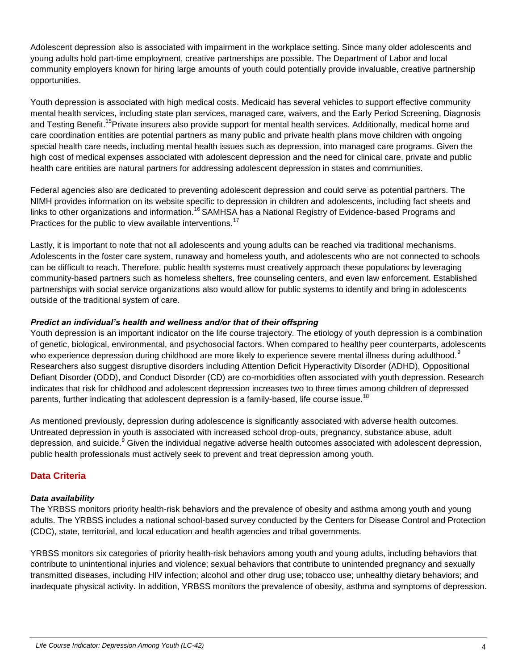Adolescent depression also is associated with impairment in the workplace setting. Since many older adolescents and young adults hold part-time employment, creative partnerships are possible. The Department of Labor and local community employers known for hiring large amounts of youth could potentially provide invaluable, creative partnership opportunities.

Youth depression is associated with high medical costs. Medicaid has several vehicles to support effective community mental health services, including state plan services, managed care, waivers, and the Early Period Screening, Diagnosis and Testing Benefit.<sup>15</sup>Private insurers also provide support for mental health services. Additionally, medical home and care coordination entities are potential partners as many public and private health plans move children with ongoing special health care needs, including mental health issues such as depression, into managed care programs. Given the high cost of medical expenses associated with adolescent depression and the need for clinical care, private and public health care entities are natural partners for addressing adolescent depression in states and communities.

Federal agencies also are dedicated to preventing adolescent depression and could serve as potential partners. The NIMH provides information on its website specific to depression in children and adolescents, including fact sheets and links to other organizations and information.<sup>16</sup> SAMHSA has a National Registry of Evidence-based Programs and Practices for the public to view available interventions.<sup>17</sup>

Lastly, it is important to note that not all adolescents and young adults can be reached via traditional mechanisms. Adolescents in the foster care system, runaway and homeless youth, and adolescents who are not connected to schools can be difficult to reach. Therefore, public health systems must creatively approach these populations by leveraging community-based partners such as homeless shelters, free counseling centers, and even law enforcement. Established partnerships with social service organizations also would allow for public systems to identify and bring in adolescents outside of the traditional system of care.

#### *Predict an individual's health and wellness and/or that of their offspring*

Youth depression is an important indicator on the life course trajectory. The etiology of youth depression is a combination of genetic, biological, environmental, and psychosocial factors. When compared to healthy peer counterparts, adolescents who experience depression during childhood are more likely to experience severe mental illness during adulthood.<sup>9</sup> Researchers also suggest disruptive disorders including Attention Deficit Hyperactivity Disorder (ADHD), Oppositional Defiant Disorder (ODD), and Conduct Disorder (CD) are co-morbidities often associated with youth depression. Research indicates that risk for childhood and adolescent depression increases two to three times among children of depressed parents, further indicating that adolescent depression is a family-based, life course issue.<sup>18</sup>

As mentioned previously, depression during adolescence is significantly associated with adverse health outcomes. Untreated depression in youth is associated with increased school drop-outs, pregnancy, substance abuse, adult depression, and suicide.<sup>9</sup> Given the individual negative adverse health outcomes associated with adolescent depression, public health professionals must actively seek to prevent and treat depression among youth.

## **Data Criteria**

#### *Data availability*

The YRBSS monitors priority health-risk behaviors and the prevalence of obesity and asthma among youth and young adults. The YRBSS includes a national school-based survey conducted by the Centers for Disease Control and Protection (CDC), state, territorial, and local education and health agencies and tribal governments.

YRBSS monitors six categories of priority health-risk behaviors among youth and young adults, including behaviors that contribute to unintentional injuries and violence; sexual behaviors that contribute to unintended pregnancy and sexually transmitted diseases, including HIV infection; alcohol and other drug use; tobacco use; unhealthy dietary behaviors; and inadequate physical activity. In addition, YRBSS monitors the prevalence of obesity, asthma and symptoms of depression.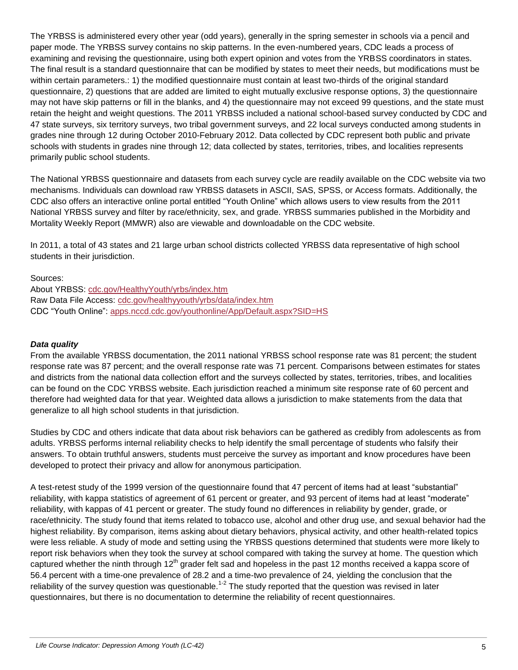The YRBSS is administered every other year (odd years), generally in the spring semester in schools via a pencil and paper mode. The YRBSS survey contains no skip patterns. In the even-numbered years, CDC leads a process of examining and revising the questionnaire, using both expert opinion and votes from the YRBSS coordinators in states. The final result is a standard questionnaire that can be modified by states to meet their needs, but modifications must be within certain parameters.: 1) the modified questionnaire must contain at least two-thirds of the original standard questionnaire, 2) questions that are added are limited to eight mutually exclusive response options, 3) the questionnaire may not have skip patterns or fill in the blanks, and 4) the questionnaire may not exceed 99 questions, and the state must retain the height and weight questions. The 2011 YRBSS included a national school-based survey conducted by CDC and 47 state surveys, six territory surveys, two tribal government surveys, and 22 local surveys conducted among students in grades nine through 12 during October 2010-February 2012. Data collected by CDC represent both public and private schools with students in grades nine through 12; data collected by states, territories, tribes, and localities represents primarily public school students.

The National YRBSS questionnaire and datasets from each survey cycle are readily available on the CDC website via two mechanisms. Individuals can download raw YRBSS datasets in ASCII, SAS, SPSS, or Access formats. Additionally, the CDC also offers an interactive online portal entitled "Youth Online" which allows users to view results from the 2011 National YRBSS survey and filter by race/ethnicity, sex, and grade. YRBSS summaries published in the Morbidity and Mortality Weekly Report (MMWR) also are viewable and downloadable on the CDC website.

In 2011, a total of 43 states and 21 large urban school districts collected YRBSS data representative of high school students in their jurisdiction.

Sources:

About YRBSS: [cdc.gov/HealthyYouth/yrbs/index.htm](http://www.cdc.gov/HealthyYouth/yrbs/index.htm) Raw Data File Access: [cdc.gov/healthyyouth/yrbs/data/index.htm](http://www.cdc.gov/healthyyouth/yrbs/data/index.htm) CDC "Youth Online": [apps.nccd.cdc.gov/youthonline/App/Default.aspx?SID=HS](http://apps.nccd.cdc.gov/youthonline/App/Default.aspx?SID=HS)

#### *Data quality*

From the available YRBSS documentation, the 2011 national YRBSS school response rate was 81 percent; the student response rate was 87 percent; and the overall response rate was 71 percent. Comparisons between estimates for states and districts from the national data collection effort and the surveys collected by states, territories, tribes, and localities can be found on the CDC YRBSS website. Each jurisdiction reached a minimum site response rate of 60 percent and therefore had weighted data for that year. Weighted data allows a jurisdiction to make statements from the data that generalize to all high school students in that jurisdiction.

Studies by CDC and others indicate that data about risk behaviors can be gathered as credibly from adolescents as from adults. YRBSS performs internal reliability checks to help identify the small percentage of students who falsify their answers. To obtain truthful answers, students must perceive the survey as important and know procedures have been developed to protect their privacy and allow for anonymous participation.

A test-retest study of the 1999 version of the questionnaire found that 47 percent of items had at least "substantial" reliability, with kappa statistics of agreement of 61 percent or greater, and 93 percent of items had at least "moderate" reliability, with kappas of 41 percent or greater. The study found no differences in reliability by gender, grade, or race/ethnicity. The study found that items related to tobacco use, alcohol and other drug use, and sexual behavior had the highest reliability. By comparison, items asking about dietary behaviors, physical activity, and other health-related topics were less reliable. A study of mode and setting using the YRBSS questions determined that students were more likely to report risk behaviors when they took the survey at school compared with taking the survey at home. The question which captured whether the ninth through  $12<sup>th</sup>$  grader felt sad and hopeless in the past 12 months received a kappa score of 56.4 percent with a time-one prevalence of 28.2 and a time-two prevalence of 24, yielding the conclusion that the reliability of the survey question was questionable.<sup>1-2</sup> The study reported that the question was revised in later questionnaires, but there is no documentation to determine the reliability of recent questionnaires.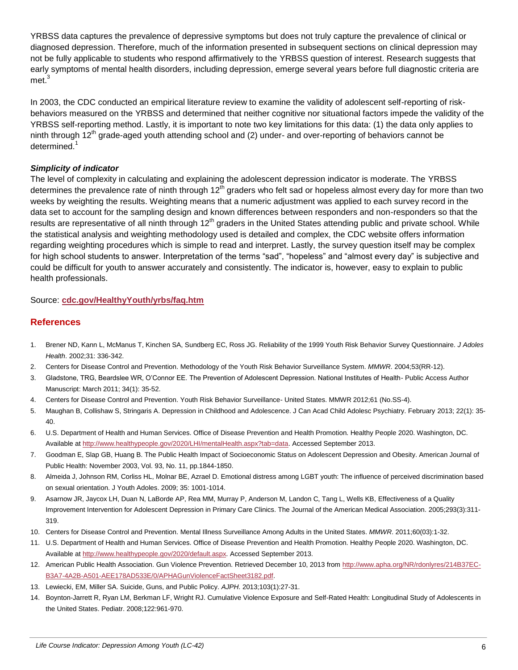YRBSS data captures the prevalence of depressive symptoms but does not truly capture the prevalence of clinical or diagnosed depression. Therefore, much of the information presented in subsequent sections on clinical depression may not be fully applicable to students who respond affirmatively to the YRBSS question of interest. Research suggests that early symptoms of mental health disorders, including depression, emerge several years before full diagnostic criteria are met.<sup>3</sup>

In 2003, the CDC conducted an empirical literature review to examine the validity of adolescent self-reporting of riskbehaviors measured on the YRBSS and determined that neither cognitive nor situational factors impede the validity of the YRBSS self-reporting method. Lastly, it is important to note two key limitations for this data: (1) the data only applies to ninth through 12<sup>th</sup> grade-aged youth attending school and (2) under- and over-reporting of behaviors cannot be determined.<sup>1</sup>

#### *Simplicity of indicator*

The level of complexity in calculating and explaining the adolescent depression indicator is moderate. The YRBSS determines the prevalence rate of ninth through  $12<sup>th</sup>$  graders who felt sad or hopeless almost every day for more than two weeks by weighting the results. Weighting means that a numeric adjustment was applied to each survey record in the data set to account for the sampling design and known differences between responders and non-responders so that the results are representative of all ninth through 12<sup>th</sup> graders in the United States attending public and private school. While the statistical analysis and weighting methodology used is detailed and complex, the CDC website offers information regarding weighting procedures which is simple to read and interpret. Lastly, the survey question itself may be complex for high school students to answer. Interpretation of the terms "sad", "hopeless" and "almost every day" is subjective and could be difficult for youth to answer accurately and consistently. The indicator is, however, easy to explain to public health professionals.

#### Source: **[cdc.gov/HealthyYouth/yrbs/faq.htm](http://www.cdc.gov/HealthyYouth/yrbs/faq.htm)**

#### **References**

- 1. Brener ND, Kann L, McManus T, Kinchen SA, Sundberg EC, Ross JG. Reliability of the 1999 Youth Risk Behavior Survey Questionnaire. *J Adoles Health*. 2002;31: 336-342.
- 2. Centers for Disease Control and Prevention. Methodology of the Youth Risk Behavior Surveillance System. *MMWR*. 2004;53(RR-12).
- 3. Gladstone, TRG, Beardslee WR, O'Connor EE. The Prevention of Adolescent Depression. National Institutes of Health- Public Access Author Manuscript: March 2011; 34(1): 35-52.
- 4. Centers for Disease Control and Prevention. Youth Risk Behavior Surveillance- United States. MMWR 2012;61 (No.SS-4).
- 5. Maughan B, Collishaw S, Stringaris A. Depression in Childhood and Adolescence. J Can Acad Child Adolesc Psychiatry. February 2013; 22(1): 35- 40.
- 6. U.S. Department of Health and Human Services. Office of Disease Prevention and Health Promotion. Healthy People 2020. Washington, DC. Available a[t http://www.healthypeople.gov/2020/LHI/mentalHealth.aspx?tab=data.](http://www.healthypeople.gov/2020/LHI/mentalHealth.aspx?tab=data) Accessed September 2013.
- 7. Goodman E, Slap GB, Huang B. The Public Health Impact of Socioeconomic Status on Adolescent Depression and Obesity. American Journal of Public Health: November 2003, Vol. 93, No. 11, pp.1844-1850.
- 8. Almeida J, Johnson RM, Corliss HL, Molnar BE, Azrael D. Emotional distress among LGBT youth: The influence of perceived discrimination based on sexual orientation. J Youth Adoles. 2009; 35: 1001-1014.
- 9. Asarnow JR, Jaycox LH, Duan N, LaBorde AP, Rea MM, Murray P, Anderson M, Landon C, Tang L, Wells KB, Effectiveness of a Quality Improvement Intervention for Adolescent Depression in Primary Care Clinics. The Journal of the American Medical Association. 2005;293(3):311- 319.
- 10. Centers for Disease Control and Prevention. Mental Illness Surveillance Among Adults in the United States. *MMWR*. 2011;60(03):1-32.
- 11. U.S. Department of Health and Human Services. Office of Disease Prevention and Health Promotion. Healthy People 2020. Washington, DC. Available a[t http://www.healthypeople.gov/2020/default.aspx.](http://www.healthypeople.gov/2020/default.aspx) Accessed September 2013.
- 12. American Public Health Association. Gun Violence Prevention. Retrieved December 10, 2013 from [http://www.apha.org/NR/rdonlyres/214B37EC-](http://www.apha.org/NR/rdonlyres/214B37EC-B3A7-4A2B-A501-AEE178AD533E/0/APHAGunViolenceFactSheet3182.pdf)[B3A7-4A2B-A501-AEE178AD533E/0/APHAGunViolenceFactSheet3182.pdf.](http://www.apha.org/NR/rdonlyres/214B37EC-B3A7-4A2B-A501-AEE178AD533E/0/APHAGunViolenceFactSheet3182.pdf)
- 13. Lewiecki, EM, Miller SA. Suicide, Guns, and Public Policy. *AJPH*. 2013;103(1):27-31.
- 14. Boynton-Jarrett R, Ryan LM, Berkman LF, Wright RJ. Cumulative Violence Exposure and Self-Rated Health: Longitudinal Study of Adolescents in the United States. Pediatr. 2008;122:961-970.